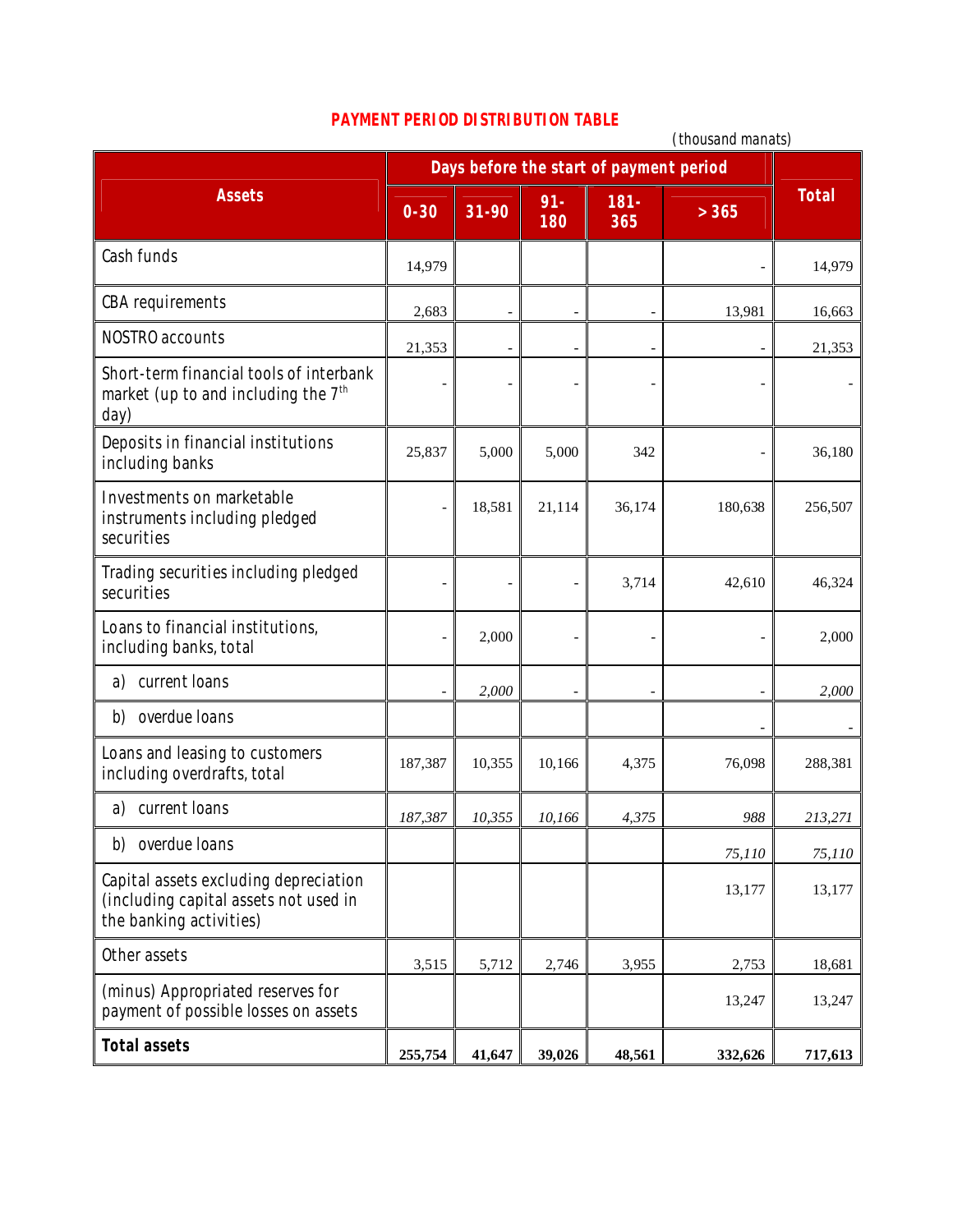## **PAYMENT PERIOD DISTRIBUTION TABLE**

|                                                                                                           | (thousand manats)                       |        |                |                |         |              |
|-----------------------------------------------------------------------------------------------------------|-----------------------------------------|--------|----------------|----------------|---------|--------------|
|                                                                                                           | Days before the start of payment period |        |                |                |         |              |
| <b>Assets</b>                                                                                             | $0 - 30$                                | 31-90  | $91 -$<br>180  | $181 -$<br>365 | > 365   | <b>Total</b> |
| Cash funds                                                                                                | 14,979                                  |        |                |                |         | 14,979       |
| <b>CBA</b> requirements                                                                                   | 2,683                                   | -      | $\overline{a}$ |                | 13,981  | 16,663       |
| NOSTRO accounts                                                                                           | 21,353                                  |        |                |                |         | 21,353       |
| Short-term financial tools of interbank<br>market (up to and including the 7 <sup>th</sup><br>day)        |                                         | Ē,     |                |                |         |              |
| Deposits in financial institutions<br>including banks                                                     | 25,837                                  | 5,000  | 5,000          | 342            |         | 36,180       |
| Investments on marketable<br>instruments including pledged<br>securities                                  |                                         | 18,581 | 21,114         | 36,174         | 180,638 | 256,507      |
| Trading securities including pledged<br>securities                                                        |                                         |        | -              | 3,714          | 42,610  | 46,324       |
| Loans to financial institutions,<br>including banks, total                                                |                                         | 2,000  |                |                |         | 2,000        |
| current loans<br>a)                                                                                       |                                         | 2,000  |                |                |         | 2,000        |
| overdue Ioans<br>b)                                                                                       |                                         |        |                |                |         |              |
| Loans and leasing to customers<br>including overdrafts, total                                             | 187,387                                 | 10,355 | 10,166         | 4,375          | 76,098  | 288,381      |
| current loans<br>a)                                                                                       | 187,387                                 | 10,355 | 10,166         | 4,375          | 988     | 213,271      |
| overdue Ioans<br>b)                                                                                       |                                         |        |                |                | 75,110  | 75,110       |
| Capital assets excluding depreciation<br>(including capital assets not used in<br>the banking activities) |                                         |        |                |                | 13,177  | 13,177       |
| Other assets                                                                                              | 3,515                                   | 5,712  | 2,746          | 3,955          | 2,753   | 18,681       |
| (minus) Appropriated reserves for<br>payment of possible losses on assets                                 |                                         |        |                |                | 13,247  | 13,247       |
| <b>Total assets</b>                                                                                       | 255,754                                 | 41,647 | 39,026         | 48,561         | 332,626 | 717,613      |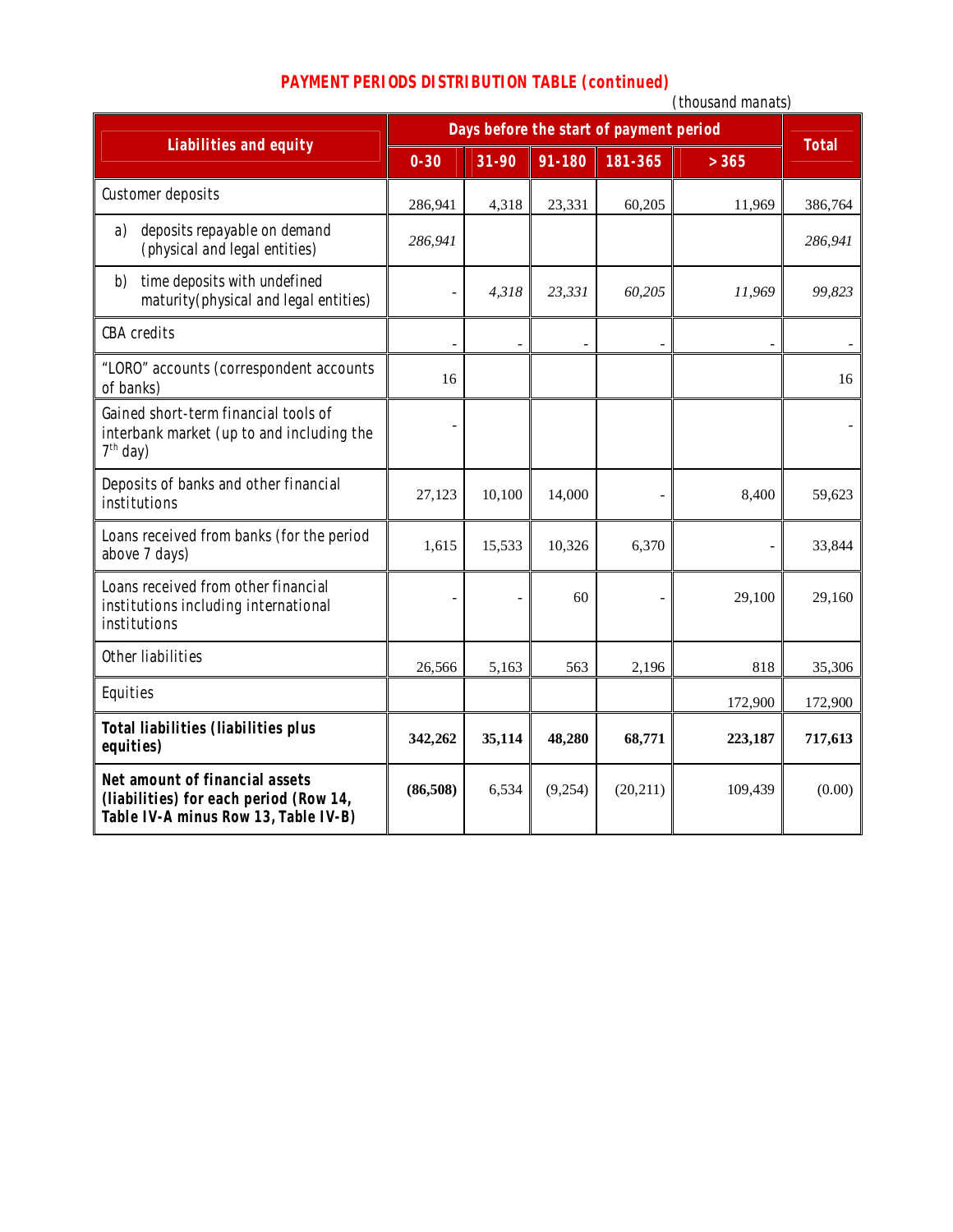|  |  | <b>PAYMENT PERIODS DISTRIBUTION TABLE (continued)</b> |  |  |
|--|--|-------------------------------------------------------|--|--|
|--|--|-------------------------------------------------------|--|--|

|                                                                                                                  |                                         |        |         |           | (thousand manats) |              |
|------------------------------------------------------------------------------------------------------------------|-----------------------------------------|--------|---------|-----------|-------------------|--------------|
| <b>Liabilities and equity</b>                                                                                    | Days before the start of payment period |        |         |           |                   |              |
|                                                                                                                  | $0 - 30$                                | 31-90  | 91-180  | 181-365   | > 365             | <b>Total</b> |
| Customer deposits                                                                                                | 286,941                                 | 4,318  | 23,331  | 60,205    | 11,969            | 386,764      |
| deposits repayable on demand<br>a)<br>(physical and legal entities)                                              | 286,941                                 |        |         |           |                   | 286,941      |
| time deposits with undefined<br>b)<br>maturity (physical and legal entities)                                     |                                         | 4,318  | 23,331  | 60,205    | 11,969            | 99,823       |
| <b>CBA</b> credits                                                                                               |                                         |        |         |           |                   |              |
| "LORO" accounts (correspondent accounts<br>of banks)                                                             | 16                                      |        |         |           |                   | 16           |
| Gained short-term financial tools of<br>interbank market (up to and including the<br>$7th$ day)                  |                                         |        |         |           |                   |              |
| Deposits of banks and other financial<br>institutions                                                            | 27,123                                  | 10,100 | 14,000  |           | 8,400             | 59,623       |
| Loans received from banks (for the period<br>above 7 days)                                                       | 1,615                                   | 15,533 | 10,326  | 6,370     |                   | 33,844       |
| Loans received from other financial<br>institutions including international<br>institutions                      |                                         |        | 60      |           | 29,100            | 29,160       |
| Other liabilities                                                                                                | 26,566                                  | 5,163  | 563     | 2,196     | 818               | 35,306       |
| Equities                                                                                                         |                                         |        |         |           | 172,900           | 172,900      |
| <b>Total liabilities (liabilities plus</b><br>equities)                                                          | 342,262                                 | 35,114 | 48,280  | 68,771    | 223,187           | 717,613      |
| Net amount of financial assets<br>(liabilities) for each period (Row 14,<br>Table IV-A minus Row 13, Table IV-B) | (86,508)                                | 6,534  | (9,254) | (20, 211) | 109,439           | (0.00)       |